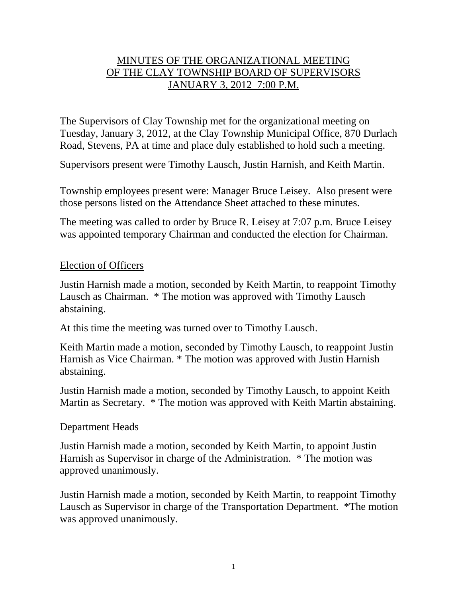# MINUTES OF THE ORGANIZATIONAL MEETING OF THE CLAY TOWNSHIP BOARD OF SUPERVISORS JANUARY 3, 2012 7:00 P.M.

The Supervisors of Clay Township met for the organizational meeting on Tuesday, January 3, 2012, at the Clay Township Municipal Office, 870 Durlach Road, Stevens, PA at time and place duly established to hold such a meeting.

Supervisors present were Timothy Lausch, Justin Harnish, and Keith Martin.

Township employees present were: Manager Bruce Leisey. Also present were those persons listed on the Attendance Sheet attached to these minutes.

The meeting was called to order by Bruce R. Leisey at 7:07 p.m. Bruce Leisey was appointed temporary Chairman and conducted the election for Chairman.

### Election of Officers

Justin Harnish made a motion, seconded by Keith Martin, to reappoint Timothy Lausch as Chairman. \* The motion was approved with Timothy Lausch abstaining.

At this time the meeting was turned over to Timothy Lausch.

Keith Martin made a motion, seconded by Timothy Lausch, to reappoint Justin Harnish as Vice Chairman. \* The motion was approved with Justin Harnish abstaining.

Justin Harnish made a motion, seconded by Timothy Lausch, to appoint Keith Martin as Secretary. \* The motion was approved with Keith Martin abstaining.

## Department Heads

Justin Harnish made a motion, seconded by Keith Martin, to appoint Justin Harnish as Supervisor in charge of the Administration. \* The motion was approved unanimously.

Justin Harnish made a motion, seconded by Keith Martin, to reappoint Timothy Lausch as Supervisor in charge of the Transportation Department. \*The motion was approved unanimously.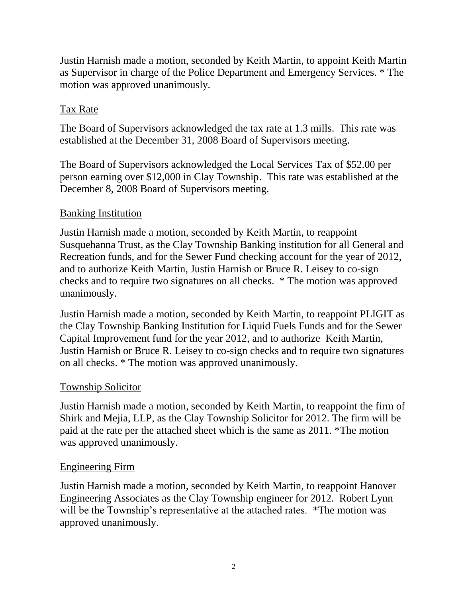Justin Harnish made a motion, seconded by Keith Martin, to appoint Keith Martin as Supervisor in charge of the Police Department and Emergency Services. \* The motion was approved unanimously.

# Tax Rate

The Board of Supervisors acknowledged the tax rate at 1.3 mills. This rate was established at the December 31, 2008 Board of Supervisors meeting.

The Board of Supervisors acknowledged the Local Services Tax of \$52.00 per person earning over \$12,000 in Clay Township. This rate was established at the December 8, 2008 Board of Supervisors meeting.

# Banking Institution

Justin Harnish made a motion, seconded by Keith Martin, to reappoint Susquehanna Trust, as the Clay Township Banking institution for all General and Recreation funds, and for the Sewer Fund checking account for the year of 2012, and to authorize Keith Martin, Justin Harnish or Bruce R. Leisey to co-sign checks and to require two signatures on all checks. \* The motion was approved unanimously.

Justin Harnish made a motion, seconded by Keith Martin, to reappoint PLIGIT as the Clay Township Banking Institution for Liquid Fuels Funds and for the Sewer Capital Improvement fund for the year 2012, and to authorize Keith Martin, Justin Harnish or Bruce R. Leisey to co-sign checks and to require two signatures on all checks. \* The motion was approved unanimously.

## Township Solicitor

Justin Harnish made a motion, seconded by Keith Martin, to reappoint the firm of Shirk and Mejia, LLP, as the Clay Township Solicitor for 2012. The firm will be paid at the rate per the attached sheet which is the same as 2011. \*The motion was approved unanimously.

## Engineering Firm

Justin Harnish made a motion, seconded by Keith Martin, to reappoint Hanover Engineering Associates as the Clay Township engineer for 2012. Robert Lynn will be the Township's representative at the attached rates. \*The motion was approved unanimously.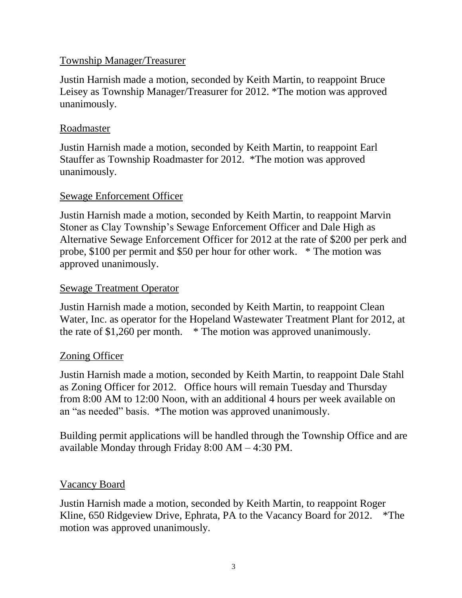## Township Manager/Treasurer

Justin Harnish made a motion, seconded by Keith Martin, to reappoint Bruce Leisey as Township Manager/Treasurer for 2012. \*The motion was approved unanimously.

### Roadmaster

Justin Harnish made a motion, seconded by Keith Martin, to reappoint Earl Stauffer as Township Roadmaster for 2012. \*The motion was approved unanimously.

## Sewage Enforcement Officer

Justin Harnish made a motion, seconded by Keith Martin, to reappoint Marvin Stoner as Clay Township's Sewage Enforcement Officer and Dale High as Alternative Sewage Enforcement Officer for 2012 at the rate of \$200 per perk and probe, \$100 per permit and \$50 per hour for other work. \* The motion was approved unanimously.

## Sewage Treatment Operator

Justin Harnish made a motion, seconded by Keith Martin, to reappoint Clean Water, Inc. as operator for the Hopeland Wastewater Treatment Plant for 2012, at the rate of \$1,260 per month. \* The motion was approved unanimously.

# Zoning Officer

Justin Harnish made a motion, seconded by Keith Martin, to reappoint Dale Stahl as Zoning Officer for 2012. Office hours will remain Tuesday and Thursday from 8:00 AM to 12:00 Noon, with an additional 4 hours per week available on an "as needed" basis. \*The motion was approved unanimously.

Building permit applications will be handled through the Township Office and are available Monday through Friday 8:00 AM – 4:30 PM.

## Vacancy Board

Justin Harnish made a motion, seconded by Keith Martin, to reappoint Roger Kline, 650 Ridgeview Drive, Ephrata, PA to the Vacancy Board for 2012. \* The motion was approved unanimously.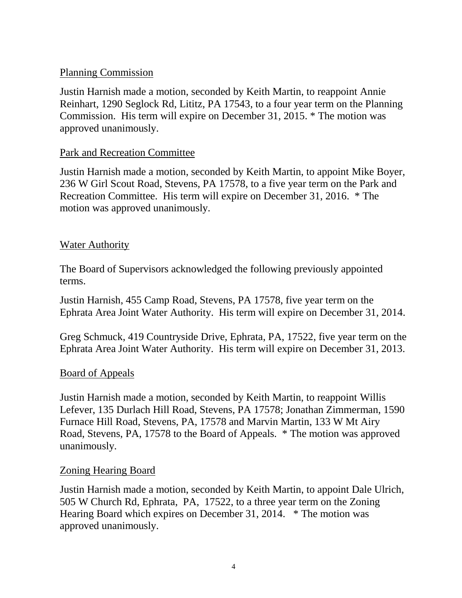## Planning Commission

Justin Harnish made a motion, seconded by Keith Martin, to reappoint Annie Reinhart, 1290 Seglock Rd, Lititz, PA 17543, to a four year term on the Planning Commission. His term will expire on December 31, 2015. \* The motion was approved unanimously.

## Park and Recreation Committee

Justin Harnish made a motion, seconded by Keith Martin, to appoint Mike Boyer, 236 W Girl Scout Road, Stevens, PA 17578, to a five year term on the Park and Recreation Committee. His term will expire on December 31, 2016. \* The motion was approved unanimously.

## Water Authority

The Board of Supervisors acknowledged the following previously appointed terms.

Justin Harnish, 455 Camp Road, Stevens, PA 17578, five year term on the Ephrata Area Joint Water Authority. His term will expire on December 31, 2014.

Greg Schmuck, 419 Countryside Drive, Ephrata, PA, 17522, five year term on the Ephrata Area Joint Water Authority. His term will expire on December 31, 2013.

## Board of Appeals

Justin Harnish made a motion, seconded by Keith Martin, to reappoint Willis Lefever, 135 Durlach Hill Road, Stevens, PA 17578; Jonathan Zimmerman, 1590 Furnace Hill Road, Stevens, PA, 17578 and Marvin Martin, 133 W Mt Airy Road, Stevens, PA, 17578 to the Board of Appeals. \* The motion was approved unanimously.

## Zoning Hearing Board

Justin Harnish made a motion, seconded by Keith Martin, to appoint Dale Ulrich, 505 W Church Rd, Ephrata, PA, 17522, to a three year term on the Zoning Hearing Board which expires on December 31, 2014. \* The motion was approved unanimously.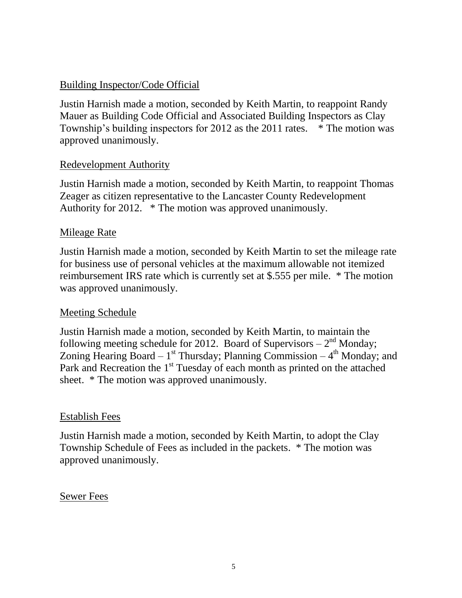## Building Inspector/Code Official

Justin Harnish made a motion, seconded by Keith Martin, to reappoint Randy Mauer as Building Code Official and Associated Building Inspectors as Clay Township's building inspectors for 2012 as the 2011 rates. \* The motion was approved unanimously.

## Redevelopment Authority

Justin Harnish made a motion, seconded by Keith Martin, to reappoint Thomas Zeager as citizen representative to the Lancaster County Redevelopment Authority for 2012. \* The motion was approved unanimously.

### Mileage Rate

Justin Harnish made a motion, seconded by Keith Martin to set the mileage rate for business use of personal vehicles at the maximum allowable not itemized reimbursement IRS rate which is currently set at \$.555 per mile. \* The motion was approved unanimously.

## Meeting Schedule

Justin Harnish made a motion, seconded by Keith Martin, to maintain the following meeting schedule for 2012. Board of Supervisors  $-2<sup>nd</sup>$  Monday; Zoning Hearing Board –  $1^{st}$  Thursday; Planning Commission –  $4^{th}$  Monday; and Park and Recreation the  $1<sup>st</sup>$  Tuesday of each month as printed on the attached sheet. \* The motion was approved unanimously.

#### Establish Fees

Justin Harnish made a motion, seconded by Keith Martin, to adopt the Clay Township Schedule of Fees as included in the packets. \* The motion was approved unanimously.

#### Sewer Fees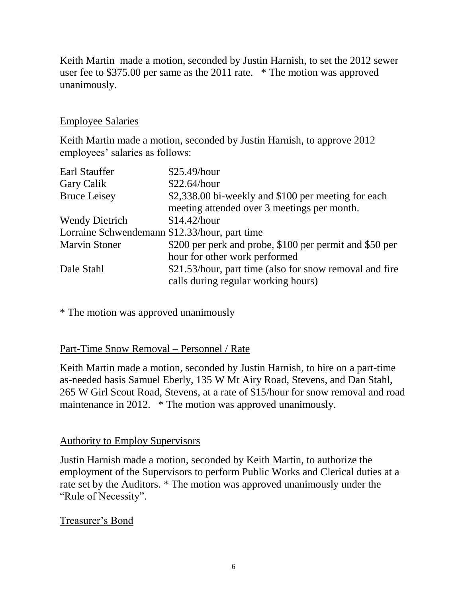Keith Martin made a motion, seconded by Justin Harnish, to set the 2012 sewer user fee to \$375.00 per same as the 2011 rate. \* The motion was approved unanimously.

## Employee Salaries

Keith Martin made a motion, seconded by Justin Harnish, to approve 2012 employees' salaries as follows:

| Earl Stauffer                                 | \$25.49/hour                                            |
|-----------------------------------------------|---------------------------------------------------------|
| Gary Calik                                    | \$22.64/hour                                            |
| <b>Bruce Leisey</b>                           | \$2,338.00 bi-weekly and \$100 per meeting for each     |
|                                               | meeting attended over 3 meetings per month.             |
| <b>Wendy Dietrich</b>                         | \$14.42/hour                                            |
| Lorraine Schwendemann \$12.33/hour, part time |                                                         |
| <b>Marvin Stoner</b>                          | \$200 per perk and probe, \$100 per permit and \$50 per |
|                                               | hour for other work performed                           |
| Dale Stahl                                    | \$21.53/hour, part time (also for snow removal and fire |
|                                               | calls during regular working hours)                     |

\* The motion was approved unanimously

Part-Time Snow Removal – Personnel / Rate

Keith Martin made a motion, seconded by Justin Harnish, to hire on a part-time as-needed basis Samuel Eberly, 135 W Mt Airy Road, Stevens, and Dan Stahl, 265 W Girl Scout Road, Stevens, at a rate of \$15/hour for snow removal and road maintenance in 2012. \* The motion was approved unanimously.

# Authority to Employ Supervisors

Justin Harnish made a motion, seconded by Keith Martin, to authorize the employment of the Supervisors to perform Public Works and Clerical duties at a rate set by the Auditors. \* The motion was approved unanimously under the "Rule of Necessity".

# Treasurer's Bond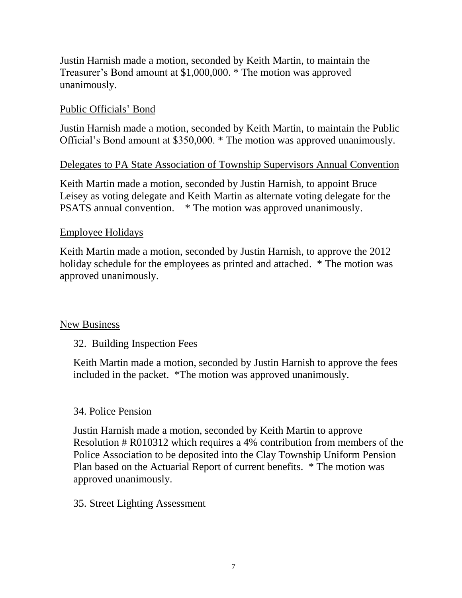Justin Harnish made a motion, seconded by Keith Martin, to maintain the Treasurer's Bond amount at \$1,000,000. \* The motion was approved unanimously.

## Public Officials' Bond

Justin Harnish made a motion, seconded by Keith Martin, to maintain the Public Official's Bond amount at \$350,000. \* The motion was approved unanimously.

## Delegates to PA State Association of Township Supervisors Annual Convention

Keith Martin made a motion, seconded by Justin Harnish, to appoint Bruce Leisey as voting delegate and Keith Martin as alternate voting delegate for the PSATS annual convention. \* The motion was approved unanimously.

### Employee Holidays

Keith Martin made a motion, seconded by Justin Harnish, to approve the 2012 holiday schedule for the employees as printed and attached. \* The motion was approved unanimously.

## New Business

## 32. Building Inspection Fees

Keith Martin made a motion, seconded by Justin Harnish to approve the fees included in the packet. \*The motion was approved unanimously.

#### 34. Police Pension

Justin Harnish made a motion, seconded by Keith Martin to approve Resolution # R010312 which requires a 4% contribution from members of the Police Association to be deposited into the Clay Township Uniform Pension Plan based on the Actuarial Report of current benefits. \* The motion was approved unanimously.

#### 35. Street Lighting Assessment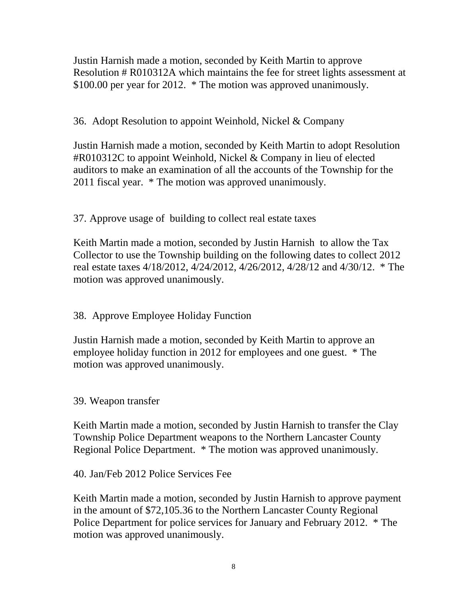Justin Harnish made a motion, seconded by Keith Martin to approve Resolution # R010312A which maintains the fee for street lights assessment at \$100.00 per year for 2012. \* The motion was approved unanimously.

36. Adopt Resolution to appoint Weinhold, Nickel & Company

Justin Harnish made a motion, seconded by Keith Martin to adopt Resolution #R010312C to appoint Weinhold, Nickel & Company in lieu of elected auditors to make an examination of all the accounts of the Township for the 2011 fiscal year. \* The motion was approved unanimously.

# 37. Approve usage of building to collect real estate taxes

Keith Martin made a motion, seconded by Justin Harnish to allow the Tax Collector to use the Township building on the following dates to collect 2012 real estate taxes 4/18/2012, 4/24/2012, 4/26/2012, 4/28/12 and 4/30/12. \* The motion was approved unanimously.

# 38. Approve Employee Holiday Function

Justin Harnish made a motion, seconded by Keith Martin to approve an employee holiday function in 2012 for employees and one guest. \* The motion was approved unanimously.

## 39. Weapon transfer

Keith Martin made a motion, seconded by Justin Harnish to transfer the Clay Township Police Department weapons to the Northern Lancaster County Regional Police Department. \* The motion was approved unanimously.

40. Jan/Feb 2012 Police Services Fee

Keith Martin made a motion, seconded by Justin Harnish to approve payment in the amount of \$72,105.36 to the Northern Lancaster County Regional Police Department for police services for January and February 2012. \* The motion was approved unanimously.